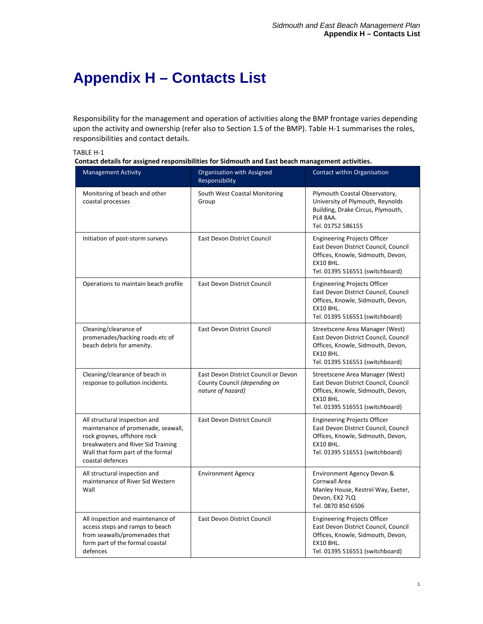## **Appendix H – Contacts List**

Responsibility for the management and operation of activities along the BMP frontage varies depending upon the activity and ownership (refer also to Section 1.5 of the BMP). Table H-1 summarises the roles, responsibilities and contact details.

| TABLE H-1 |  |
|-----------|--|
|-----------|--|

|  | Contact details for assigned responsibilities for Sidmouth and East beach management activities. |
|--|--------------------------------------------------------------------------------------------------|
|  |                                                                                                  |

| <b>Management Activity</b>                                                                                                                                                                        | Organisation with Assigned<br>Responsibility                                              | Contact within Organisation                                                                                                                                             |
|---------------------------------------------------------------------------------------------------------------------------------------------------------------------------------------------------|-------------------------------------------------------------------------------------------|-------------------------------------------------------------------------------------------------------------------------------------------------------------------------|
| Monitoring of beach and other<br>coastal processes                                                                                                                                                | South West Coastal Monitoring<br>Group                                                    | Plymouth Coastal Observatory,<br>University of Plymouth, Reynolds<br>Building, Drake Circus, Plymouth,<br>PL4 8AA.<br>Tel. 01752 586155                                 |
| Initiation of post-storm surveys                                                                                                                                                                  | East Devon District Council                                                               | <b>Engineering Projects Officer</b><br>East Devon District Council, Council<br>Offices, Knowle, Sidmouth, Devon,<br><b>EX10 8HL.</b><br>Tel. 01395 516551 (switchboard) |
| Operations to maintain beach profile                                                                                                                                                              | <b>East Devon District Council</b>                                                        | <b>Engineering Projects Officer</b><br>East Devon District Council, Council<br>Offices, Knowle, Sidmouth, Devon,<br>EX10 8HL.<br>Tel. 01395 516551 (switchboard)        |
| Cleaning/clearance of<br>promenades/backing roads etc of<br>beach debris for amenity.                                                                                                             | East Devon District Council                                                               | Streetscene Area Manager (West)<br>East Devon District Council, Council<br>Offices, Knowle, Sidmouth, Devon,<br><b>EX10 8HL.</b><br>Tel. 01395 516551 (switchboard)     |
| Cleaning/clearance of beach in<br>response to pollution incidents.                                                                                                                                | East Devon District Council or Devon<br>County Council (depending on<br>nature of hazard) | Streetscene Area Manager (West)<br>East Devon District Council, Council<br>Offices, Knowle, Sidmouth, Devon,<br><b>EX10 8HL.</b><br>Tel. 01395 516551 (switchboard)     |
| All structural inspection and<br>maintenance of promenade, seawall,<br>rock groynes, offshore rock<br>breakwaters and River Sid Training<br>Wall that form part of the formal<br>coastal defences | East Devon District Council                                                               | <b>Engineering Projects Officer</b><br>East Devon District Council, Council<br>Offices, Knowle, Sidmouth, Devon,<br><b>EX10 8HL.</b><br>Tel. 01395 516551 (switchboard) |
| All structural inspection and<br>maintenance of River Sid Western<br>Wall                                                                                                                         | <b>Environment Agency</b>                                                                 | Environment Agency Devon &<br>Cornwall Area<br>Manley House, Kestrel Way, Exeter,<br>Devon, EX2 7LQ<br>Tel. 0870 850 6506                                               |
| All inspection and maintenance of<br>access steps and ramps to beach<br>from seawalls/promenades that<br>form part of the formal coastal<br>defences                                              | East Devon District Council                                                               | <b>Engineering Projects Officer</b><br>East Devon District Council, Council<br>Offices, Knowle, Sidmouth, Devon,<br><b>EX10 8HL.</b><br>Tel. 01395 516551 (switchboard) |